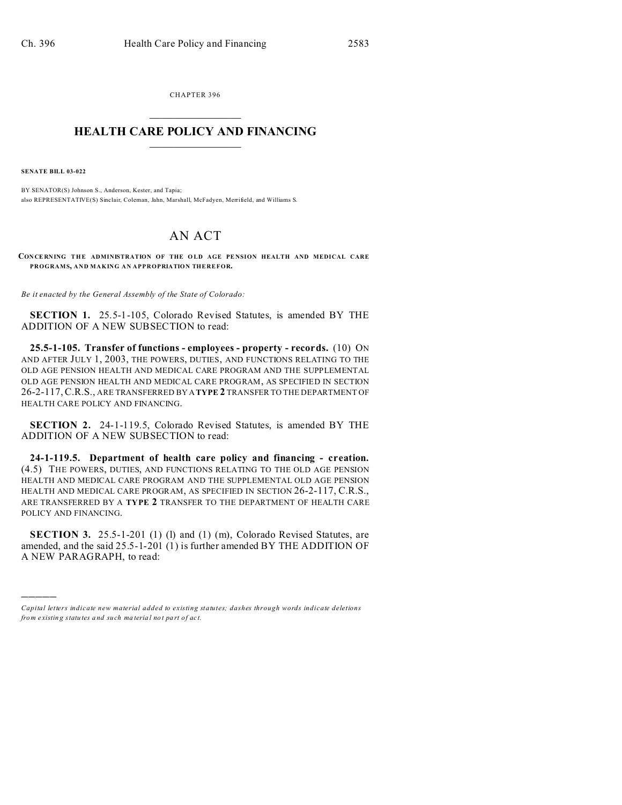CHAPTER 396  $\overline{\phantom{a}}$  , where  $\overline{\phantom{a}}$ 

## **HEALTH CARE POLICY AND FINANCING**  $\_$   $\_$   $\_$   $\_$   $\_$   $\_$   $\_$   $\_$

**SENATE BILL 03-022**

)))))

BY SENATOR(S) Johnson S., Anderson, Kester, and Tapia; also REPRESENTATIVE(S) Sinclair, Coleman, Jahn, Marshall, McFadyen, Merrifield, and Williams S.

## AN ACT

**CONCERNING THE ADMINISTRATION OF THE OLD AGE PENSION HEALTH AND MEDICAL CARE PROGRAMS, AND MAKING AN APPROPRIATION THEREFOR.**

*Be it enacted by the General Assembly of the State of Colorado:*

**SECTION 1.** 25.5-1-105, Colorado Revised Statutes, is amended BY THE ADDITION OF A NEW SUBSECTION to read:

**25.5-1-105. Transfer of functions - employees - property - records.** (10) ON AND AFTER JULY 1, 2003, THE POWERS, DUTIES, AND FUNCTIONS RELATING TO THE OLD AGE PENSION HEALTH AND MEDICAL CARE PROGRAM AND THE SUPPLEMENTAL OLD AGE PENSION HEALTH AND MEDICAL CARE PROGRAM, AS SPECIFIED IN SECTION 26-2-117,C.R.S., ARE TRANSFERRED BY A **TYPE 2** TRANSFER TO THE DEPARTMENT OF HEALTH CARE POLICY AND FINANCING.

**SECTION 2.** 24-1-119.5, Colorado Revised Statutes, is amended BY THE ADDITION OF A NEW SUBSECTION to read:

**24-1-119.5. Department of health care policy and financing - creation.** (4.5) THE POWERS, DUTIES, AND FUNCTIONS RELATING TO THE OLD AGE PENSION HEALTH AND MEDICAL CARE PROGRAM AND THE SUPPLEMENTAL OLD AGE PENSION HEALTH AND MEDICAL CARE PROGRAM, AS SPECIFIED IN SECTION 26-2-117, C.R.S., ARE TRANSFERRED BY A **TYPE 2** TRANSFER TO THE DEPARTMENT OF HEALTH CARE POLICY AND FINANCING.

**SECTION 3.** 25.5-1-201 (1) (1) and (1) (m), Colorado Revised Statutes, are amended, and the said 25.5-1-201 (1) is further amended BY THE ADDITION OF A NEW PARAGRAPH, to read:

*Capital letters indicate new material added to existing statutes; dashes through words indicate deletions from e xistin g statu tes a nd such ma teria l no t pa rt of ac t.*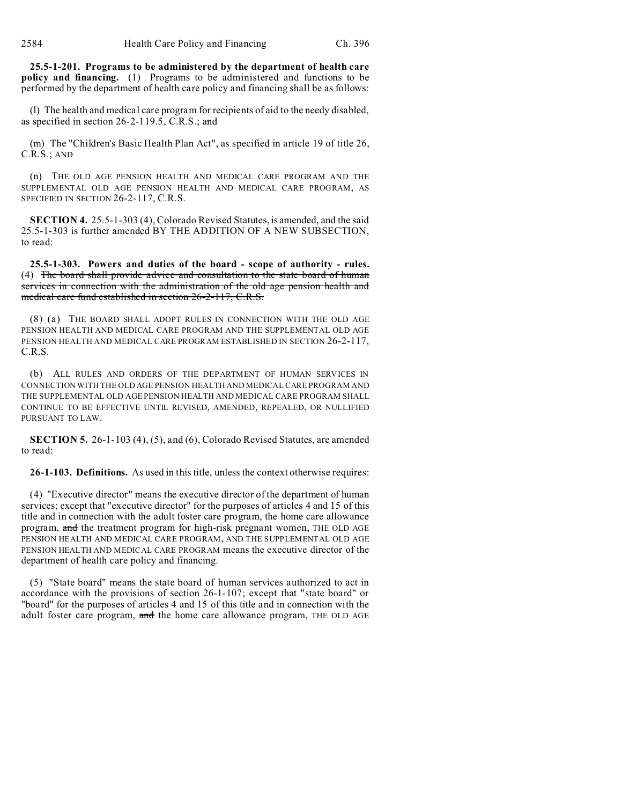**25.5-1-201. Programs to be administered by the department of health care policy and financing.** (1) Programs to be administered and functions to be performed by the department of health care policy and financing shall be as follows:

(l) The health and medical care program for recipients of aid to the needy disabled, as specified in section 26-2-119.5, C.R.S.; and

(m) The "Children's Basic Health Plan Act", as specified in article 19 of title 26, C.R.S.; AND

(n) THE OLD AGE PENSION HEALTH AND MEDICAL CARE PROGRAM AND THE SUPPLEMENTAL OLD AGE PENSION HEALTH AND MEDICAL CARE PROGRAM, AS SPECIFIED IN SECTION 26-2-117, C.R.S.

**SECTION 4.** 25.5-1-303 (4), Colorado Revised Statutes, is amended, and the said 25.5-1-303 is further amended BY THE ADDITION OF A NEW SUBSECTION, to read:

**25.5-1-303. Powers and duties of the board - scope of authority - rules.** (4) The board shall provide advice and consultation to the state board of human services in connection with the administration of the old age pension health and medical care fund established in section 26-2-117, C.R.S.

(8) (a) THE BOARD SHALL ADOPT RULES IN CONNECTION WITH THE OLD AGE PENSION HEALTH AND MEDICAL CARE PROGRAM AND THE SUPPLEMENTAL OLD AGE PENSION HEALTH AND MEDICAL CARE PROGRAM ESTABLISHED IN SECTION 26-2-117, C.R.S.

(b) ALL RULES AND ORDERS OF THE DEPARTMENT OF HUMAN SERVICES IN CONNECTION WITH THE OLD AGE PENSION HEALTH AND MEDICAL CARE PROGRAM AND THE SUPPLEMENTAL OLD AGE PENSION HEALTH AND MEDICAL CARE PROGRAM SHALL CONTINUE TO BE EFFECTIVE UNTIL REVISED, AMENDED, REPEALED, OR NULLIFIED PURSUANT TO LAW.

**SECTION 5.** 26-1-103 (4), (5), and (6), Colorado Revised Statutes, are amended to read:

**26-1-103. Definitions.** As used in this title, unless the context otherwise requires:

(4) "Executive director" means the executive director of the department of human services; except that "executive director" for the purposes of articles 4 and 15 of this title and in connection with the adult foster care program, the home care allowance program, and the treatment program for high-risk pregnant women, THE OLD AGE PENSION HEALTH AND MEDICAL CARE PROGRAM, AND THE SUPPLEMENTAL OLD AGE PENSION HEALTH AND MEDICAL CARE PROGRAM means the executive director of the department of health care policy and financing.

(5) "State board" means the state board of human services authorized to act in accordance with the provisions of section 26-1-107; except that "state board" or "board" for the purposes of articles 4 and 15 of this title and in connection with the adult foster care program, and the home care allowance program, THE OLD AGE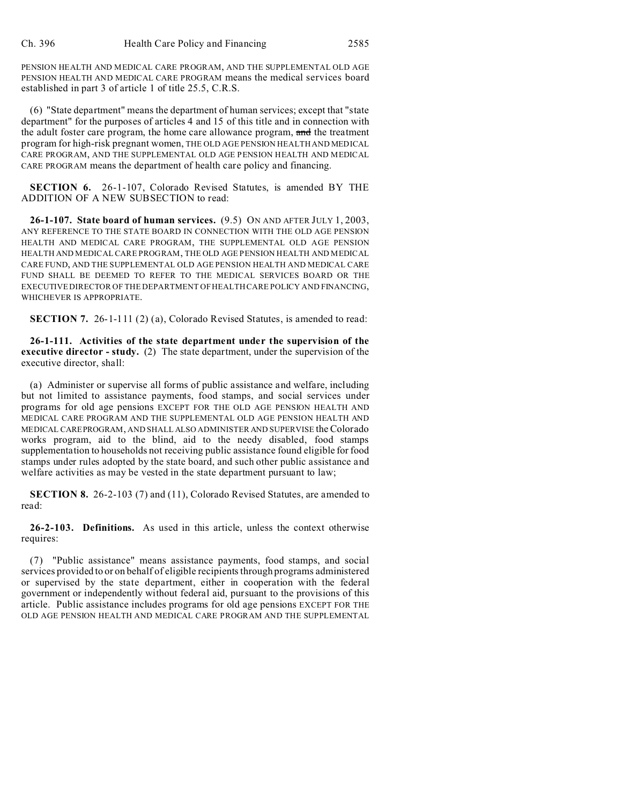PENSION HEALTH AND MEDICAL CARE PROGRAM, AND THE SUPPLEMENTAL OLD AGE PENSION HEALTH AND MEDICAL CARE PROGRAM means the medical services board established in part 3 of article 1 of title 25.5, C.R.S.

(6) "State department" means the department of human services; except that "state department" for the purposes of articles 4 and 15 of this title and in connection with the adult foster care program, the home care allowance program, and the treatment program for high-risk pregnant women, THE OLD AGE PENSION HEALTH AND MEDICAL CARE PROGRAM, AND THE SUPPLEMENTAL OLD AGE PENSION HEALTH AND MEDICAL CARE PROGRAM means the department of health care policy and financing.

**SECTION 6.** 26-1-107, Colorado Revised Statutes, is amended BY THE ADDITION OF A NEW SUBSECTION to read:

**26-1-107. State board of human services.** (9.5) ON AND AFTER JULY 1, 2003, ANY REFERENCE TO THE STATE BOARD IN CONNECTION WITH THE OLD AGE PENSION HEALTH AND MEDICAL CARE PROGRAM, THE SUPPLEMENTAL OLD AGE PENSION HEALTH AND MEDICAL CARE PROGRAM, THE OLD AGE PENSION HEALTH AND MEDICAL CARE FUND, AND THE SUPPLEMENTAL OLD AGE PENSION HEALTH AND MEDICAL CARE FUND SHALL BE DEEMED TO REFER TO THE MEDICAL SERVICES BOARD OR THE EXECUTIVE DIRECTOR OF THE DEPARTMENT OF HEALTH CARE POLICY AND FINANCING, WHICHEVER IS APPROPRIATE.

**SECTION 7.** 26-1-111 (2) (a), Colorado Revised Statutes, is amended to read:

**26-1-111. Activities of the state department under the supervision of the executive director - study.** (2) The state department, under the supervision of the executive director, shall:

(a) Administer or supervise all forms of public assistance and welfare, including but not limited to assistance payments, food stamps, and social services under programs for old age pensions EXCEPT FOR THE OLD AGE PENSION HEALTH AND MEDICAL CARE PROGRAM AND THE SUPPLEMENTAL OLD AGE PENSION HEALTH AND MEDICAL CAREPROGRAM, AND SHALL ALSO ADMINISTER AND SUPERVISE the Colorado works program, aid to the blind, aid to the needy disabled, food stamps supplementation to households not receiving public assistance found eligible for food stamps under rules adopted by the state board, and such other public assistance and welfare activities as may be vested in the state department pursuant to law;

**SECTION 8.** 26-2-103 (7) and (11), Colorado Revised Statutes, are amended to read:

**26-2-103. Definitions.** As used in this article, unless the context otherwise requires:

(7) "Public assistance" means assistance payments, food stamps, and social services provided to or on behalf of eligible recipients through programs administered or supervised by the state department, either in cooperation with the federal government or independently without federal aid, pursuant to the provisions of this article. Public assistance includes programs for old age pensions EXCEPT FOR THE OLD AGE PENSION HEALTH AND MEDICAL CARE PROGRAM AND THE SUPPLEMENTAL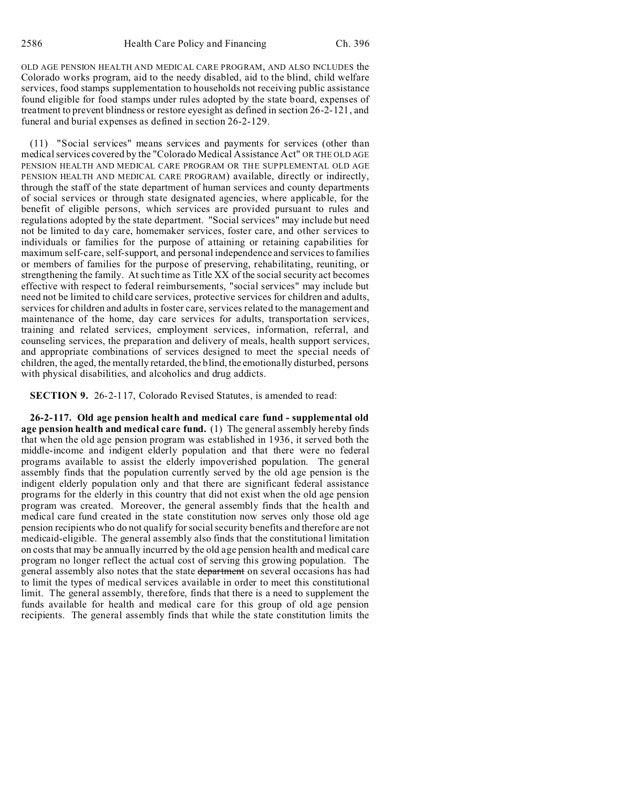OLD AGE PENSION HEALTH AND MEDICAL CARE PROGRAM, AND ALSO INCLUDES the Colorado works program, aid to the needy disabled, aid to the blind, child welfare services, food stamps supplementation to households not receiving public assistance found eligible for food stamps under rules adopted by the state board, expenses of treatment to prevent blindness or restore eyesight as defined in section 26-2-121, and funeral and burial expenses as defined in section 26-2-129.

(11) "Social services" means services and payments for services (other than medical services covered by the "Colorado Medical Assistance Act" OR THE OLD AGE PENSION HEALTH AND MEDICAL CARE PROGRAM OR THE SUPPLEMENTAL OLD AGE PENSION HEALTH AND MEDICAL CARE PROGRAM) available, directly or indirectly, through the staff of the state department of human services and county departments of social services or through state designated agencies, where applicable, for the benefit of eligible persons, which services are provided pursuant to rules and regulations adopted by the state department. "Social services" may include but need not be limited to day care, homemaker services, foster care, and other services to individuals or families for the purpose of attaining or retaining capabilities for maximum self-care, self-support, and personal independence and services to families or members of families for the purpose of preserving, rehabilitating, reuniting, or strengthening the family. At such time as Title XX of the social security act becomes effective with respect to federal reimbursements, "social services" may include but need not be limited to child care services, protective services for children and adults, services for children and adults in foster care, services related to the management and maintenance of the home, day care services for adults, transportation services, training and related services, employment services, information, referral, and counseling services, the preparation and delivery of meals, health support services, and appropriate combinations of services designed to meet the special needs of children, the aged, the mentally retarded, the blind, the emotionally disturbed, persons with physical disabilities, and alcoholics and drug addicts.

**SECTION 9.** 26-2-117, Colorado Revised Statutes, is amended to read:

**26-2-117. Old age pension health and medical care fund - supplemental old age pension health and medical care fund.** (1) The general assembly hereby finds that when the old age pension program was established in 1936, it served both the middle-income and indigent elderly population and that there were no federal programs available to assist the elderly impoverished population. The general assembly finds that the population currently served by the old age pension is the indigent elderly population only and that there are significant federal assistance programs for the elderly in this country that did not exist when the old age pension program was created. Moreover, the general assembly finds that the health and medical care fund created in the state constitution now serves only those old age pension recipients who do not qualify for social security benefits and therefore are not medicaid-eligible. The general assembly also finds that the constitutional limitation on costs that may be annually incurred by the old age pension health and medical care program no longer reflect the actual cost of serving this growing population. The general assembly also notes that the state department on several occasions has had to limit the types of medical services available in order to meet this constitutional limit. The general assembly, therefore, finds that there is a need to supplement the funds available for health and medical care for this group of old age pension recipients. The general assembly finds that while the state constitution limits the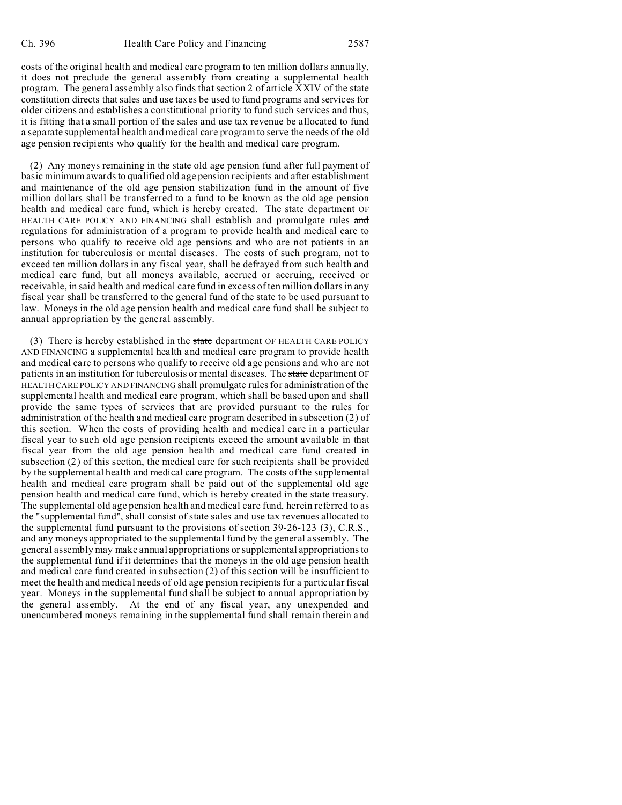costs of the original health and medical care program to ten million dollars annually, it does not preclude the general assembly from creating a supplemental health program. The general assembly also finds that section 2 of article XXIV of the state constitution directs that sales and use taxes be used to fund programs and services for older citizens and establishes a constitutional priority to fund such services and thus, it is fitting that a small portion of the sales and use tax revenue be allocated to fund a separate supplemental health and medical care program to serve the needs of the old age pension recipients who qualify for the health and medical care program.

(2) Any moneys remaining in the state old age pension fund after full payment of basic minimum awards to qualified old age pension recipients and after establishment and maintenance of the old age pension stabilization fund in the amount of five million dollars shall be transferred to a fund to be known as the old age pension health and medical care fund, which is hereby created. The state department OF HEALTH CARE POLICY AND FINANCING shall establish and promulgate rules and regulations for administration of a program to provide health and medical care to persons who qualify to receive old age pensions and who are not patients in an institution for tuberculosis or mental diseases. The costs of such program, not to exceed ten million dollars in any fiscal year, shall be defrayed from such health and medical care fund, but all moneys available, accrued or accruing, received or receivable, in said health and medical care fund in excess of ten million dollars in any fiscal year shall be transferred to the general fund of the state to be used pursuant to law. Moneys in the old age pension health and medical care fund shall be subject to annual appropriation by the general assembly.

(3) There is hereby established in the state department OF HEALTH CARE POLICY AND FINANCING a supplemental health and medical care program to provide health and medical care to persons who qualify to receive old age pensions and who are not patients in an institution for tuberculosis or mental diseases. The state department OF HEALTH CARE POLICY AND FINANCING shall promulgate rules for administration of the supplemental health and medical care program, which shall be based upon and shall provide the same types of services that are provided pursuant to the rules for administration of the health and medical care program described in subsection (2) of this section. When the costs of providing health and medical care in a particular fiscal year to such old age pension recipients exceed the amount available in that fiscal year from the old age pension health and medical care fund created in subsection (2) of this section, the medical care for such recipients shall be provided by the supplemental health and medical care program. The costs of the supplemental health and medical care program shall be paid out of the supplemental old age pension health and medical care fund, which is hereby created in the state treasury. The supplemental old age pension health and medical care fund, herein referred to as the "supplemental fund", shall consist of state sales and use tax revenues allocated to the supplemental fund pursuant to the provisions of section 39-26-123 (3), C.R.S., and any moneys appropriated to the supplemental fund by the general assembly. The general assembly may make annual appropriations or supplemental appropriations to the supplemental fund if it determines that the moneys in the old age pension health and medical care fund created in subsection (2) of this section will be insufficient to meet the health and medical needs of old age pension recipients for a particular fiscal year. Moneys in the supplemental fund shall be subject to annual appropriation by the general assembly. At the end of any fiscal year, any unexpended and unencumbered moneys remaining in the supplemental fund shall remain therein and